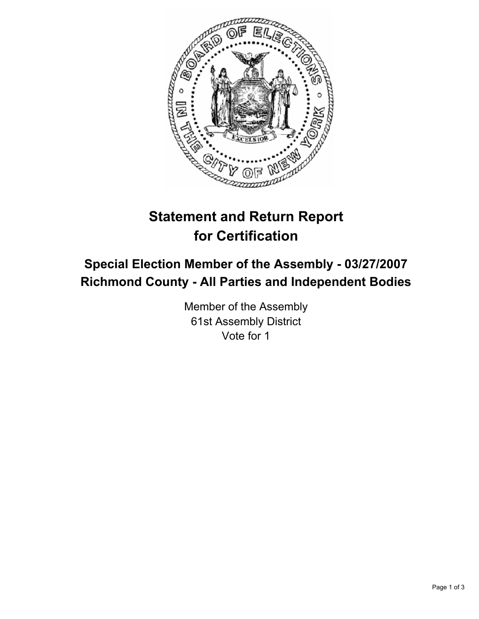

# **Statement and Return Report for Certification**

## **Special Election Member of the Assembly - 03/27/2007 Richmond County - All Parties and Independent Bodies**

Member of the Assembly 61st Assembly District Vote for 1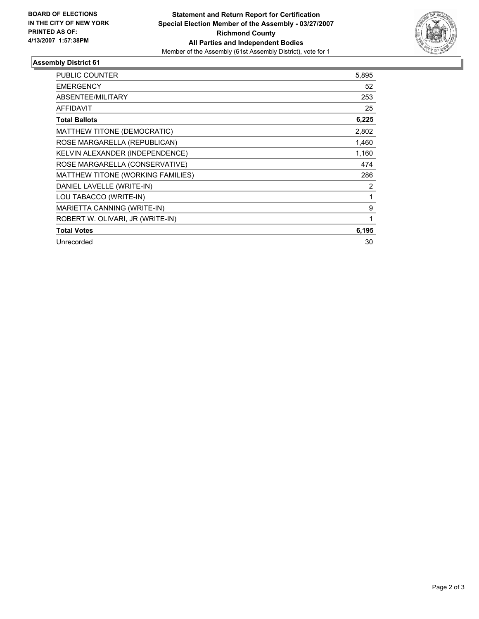

#### **Assembly District 61**

| PUBLIC COUNTER                    | 5,895 |
|-----------------------------------|-------|
| <b>EMERGENCY</b>                  | 52    |
| ABSENTEE/MILITARY                 | 253   |
| <b>AFFIDAVIT</b>                  | 25    |
| <b>Total Ballots</b>              | 6,225 |
| MATTHEW TITONE (DEMOCRATIC)       | 2,802 |
| ROSE MARGARELLA (REPUBLICAN)      | 1,460 |
| KELVIN ALEXANDER (INDEPENDENCE)   | 1,160 |
| ROSE MARGARELLA (CONSERVATIVE)    | 474   |
| MATTHEW TITONE (WORKING FAMILIES) | 286   |
| DANIEL LAVELLE (WRITE-IN)         | 2     |
| LOU TABACCO (WRITE-IN)            |       |
| MARIETTA CANNING (WRITE-IN)       | 9     |
| ROBERT W. OLIVARI, JR (WRITE-IN)  |       |
| <b>Total Votes</b>                | 6,195 |
| Unrecorded                        | 30    |